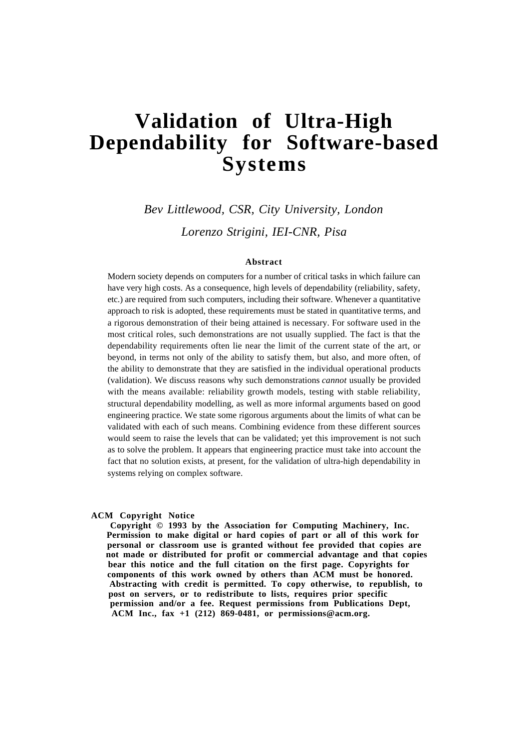# **Validation of Ultra-High Dependability for Software-based Systems**

*Bev Littlewood, CSR, City University, London Lorenzo Strigini, IEI-CNR, Pisa*

#### **Abstract**

Modern society depends on computers for a number of critical tasks in which failure can have very high costs. As a consequence, high levels of dependability (reliability, safety, etc.) are required from such computers, including their software. Whenever a quantitative approach to risk is adopted, these requirements must be stated in quantitative terms, and a rigorous demonstration of their being attained is necessary. For software used in the most critical roles, such demonstrations are not usually supplied. The fact is that the dependability requirements often lie near the limit of the current state of the art, or beyond, in terms not only of the ability to satisfy them, but also, and more often, of the ability to demonstrate that they are satisfied in the individual operational products (validation). We discuss reasons why such demonstrations *cannot* usually be provided with the means available: reliability growth models, testing with stable reliability, structural dependability modelling, as well as more informal arguments based on good engineering practice. We state some rigorous arguments about the limits of what can be validated with each of such means. Combining evidence from these different sources would seem to raise the levels that can be validated; yet this improvement is not such as to solve the problem. It appears that engineering practice must take into account the fact that no solution exists, at present, for the validation of ultra-high dependability in systems relying on complex software.

#### **ACM Copyright Notice**

 **Copyright © 1993 by the Association for Computing Machinery, Inc. Permission to make digital or hard copies of part or all of this work for personal or classroom use is granted without fee provided that copies are not made or distributed for profit or commercial advantage and that copies bear this notice and the full citation on the first page. Copyrights for components of this work owned by others than ACM must be honored. Abstracting with credit is permitted. To copy otherwise, to republish, to post on servers, or to redistribute to lists, requires prior specific permission and/or a fee. Request permissions from Publications Dept, ACM Inc., fax +1 (212) 869-0481, or permissions@acm.org.**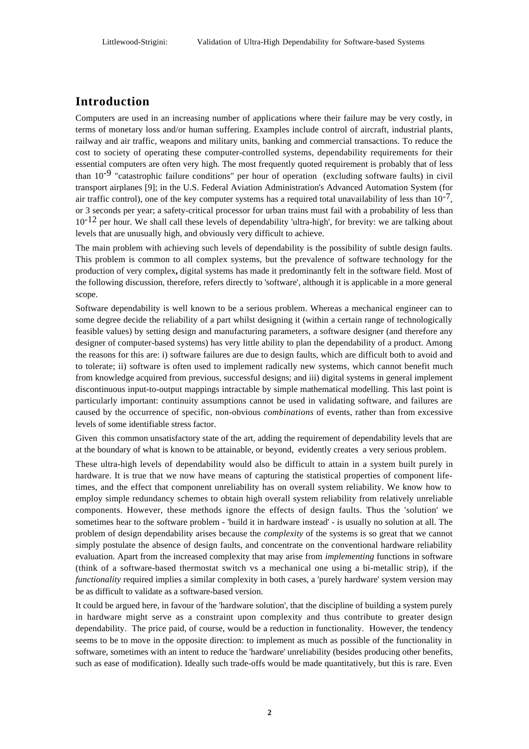#### **Introduction**

Computers are used in an increasing number of applications where their failure may be very costly, in terms of monetary loss and/or human suffering. Examples include control of aircraft, industrial plants, railway and air traffic, weapons and military units, banking and commercial transactions. To reduce the cost to society of operating these computer-controlled systems, dependability requirements for their essential computers are often very high. The most frequently quoted requirement is probably that of less than  $10^{-9}$  "catastrophic failure conditions" per hour of operation (excluding software faults) in civil transport airplanes [9]; in the U.S. Federal Aviation Administration's Advanced Automation System (for air traffic control), one of the key computer systems has a required total unavailability of less than  $10^{-7}$ , or 3 seconds per year; a safety-critical processor for urban trains must fail with a probability of less than  $10^{-12}$  per hour. We shall call these levels of dependability 'ultra-high', for brevity: we are talking about levels that are unusually high, and obviously very difficult to achieve.

The main problem with achieving such levels of dependability is the possibility of subtle design faults. This problem is common to all complex systems, but the prevalence of software technology for the production of very complex**,** digital systems has made it predominantly felt in the software field. Most of the following discussion, therefore, refers directly to 'software', although it is applicable in a more general scope.

Software dependability is well known to be a serious problem. Whereas a mechanical engineer can to some degree decide the reliability of a part whilst designing it (within a certain range of technologically feasible values) by setting design and manufacturing parameters, a software designer (and therefore any designer of computer-based systems) has very little ability to plan the dependability of a product. Among the reasons for this are: i) software failures are due to design faults, which are difficult both to avoid and to tolerate; ii) software is often used to implement radically new systems, which cannot benefit much from knowledge acquired from previous, successful designs; and iii) digital systems in general implement discontinuous input-to-output mappings intractable by simple mathematical modelling. This last point is particularly important: continuity assumptions cannot be used in validating software, and failures are caused by the occurrence of specific, non-obvious *combinations* of events, rather than from excessive levels of some identifiable stress factor.

Given this common unsatisfactory state of the art, adding the requirement of dependability levels that are at the boundary of what is known to be attainable, or beyond, evidently creates a very serious problem.

These ultra-high levels of dependability would also be difficult to attain in a system built purely in hardware. It is true that we now have means of capturing the statistical properties of component lifetimes, and the effect that component unreliability has on overall system reliability. We know how to employ simple redundancy schemes to obtain high overall system reliability from relatively unreliable components. However, these methods ignore the effects of design faults. Thus the 'solution' we sometimes hear to the software problem - 'build it in hardware instead' - is usually no solution at all. The problem of design dependability arises because the *complexity* of the systems is so great that we cannot simply postulate the absence of design faults, and concentrate on the conventional hardware reliability evaluation. Apart from the increased complexity that may arise from *implementing* functions in software (think of a software-based thermostat switch vs a mechanical one using a bi-metallic strip), if the *functionality* required implies a similar complexity in both cases, a 'purely hardware' system version may be as difficult to validate as a software-based version.

It could be argued here, in favour of the 'hardware solution', that the discipline of building a system purely in hardware might serve as a constraint upon complexity and thus contribute to greater design dependability. The price paid, of course, would be a reduction in functionality. However, the tendency seems to be to move in the opposite direction: to implement as much as possible of the functionality in software, sometimes with an intent to reduce the 'hardware' unreliability (besides producing other benefits, such as ease of modification). Ideally such trade-offs would be made quantitatively, but this is rare. Even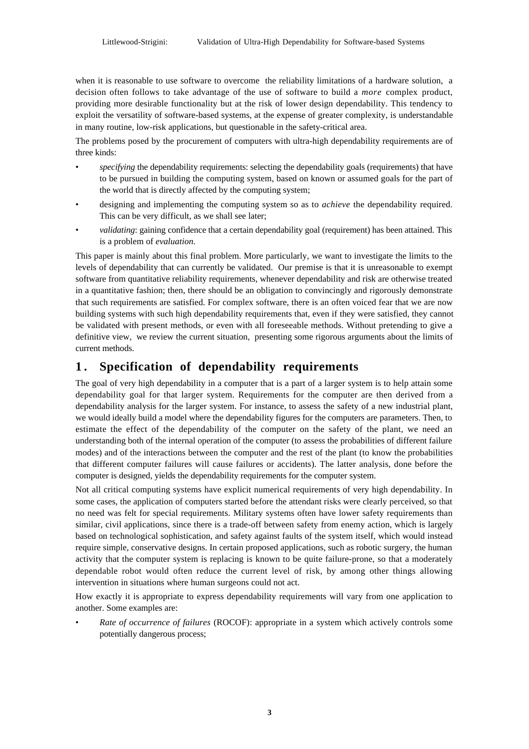when it is reasonable to use software to overcome the reliability limitations of a hardware solution, a decision often follows to take advantage of the use of software to build a *more* complex product, providing more desirable functionality but at the risk of lower design dependability. This tendency to exploit the versatility of software-based systems, at the expense of greater complexity, is understandable in many routine, low-risk applications, but questionable in the safety-critical area.

The problems posed by the procurement of computers with ultra-high dependability requirements are of three kinds:

- *specifying* the dependability requirements: selecting the dependability goals (requirements) that have to be pursued in building the computing system, based on known or assumed goals for the part of the world that is directly affected by the computing system;
- designing and implementing the computing system so as to *achieve* the dependability required. This can be very difficult, as we shall see later;
- *validating*: gaining confidence that a certain dependability goal (requirement) has been attained. This is a problem of *evaluation*.

This paper is mainly about this final problem. More particularly, we want to investigate the limits to the levels of dependability that can currently be validated. Our premise is that it is unreasonable to exempt software from quantitative reliability requirements, whenever dependability and risk are otherwise treated in a quantitative fashion; then, there should be an obligation to convincingly and rigorously demonstrate that such requirements are satisfied. For complex software, there is an often voiced fear that we are now building systems with such high dependability requirements that, even if they were satisfied, they cannot be validated with present methods, or even with all foreseeable methods. Without pretending to give a definitive view, we review the current situation, presenting some rigorous arguments about the limits of current methods.

#### **1 . Specification of dependability requirements**

The goal of very high dependability in a computer that is a part of a larger system is to help attain some dependability goal for that larger system. Requirements for the computer are then derived from a dependability analysis for the larger system. For instance, to assess the safety of a new industrial plant, we would ideally build a model where the dependability figures for the computers are parameters. Then, to estimate the effect of the dependability of the computer on the safety of the plant, we need an understanding both of the internal operation of the computer (to assess the probabilities of different failure modes) and of the interactions between the computer and the rest of the plant (to know the probabilities that different computer failures will cause failures or accidents). The latter analysis, done before the computer is designed, yields the dependability requirements for the computer system.

Not all critical computing systems have explicit numerical requirements of very high dependability. In some cases, the application of computers started before the attendant risks were clearly perceived, so that no need was felt for special requirements. Military systems often have lower safety requirements than similar, civil applications, since there is a trade-off between safety from enemy action, which is largely based on technological sophistication, and safety against faults of the system itself, which would instead require simple, conservative designs. In certain proposed applications, such as robotic surgery, the human activity that the computer system is replacing is known to be quite failure-prone, so that a moderately dependable robot would often reduce the current level of risk, by among other things allowing intervention in situations where human surgeons could not act.

How exactly it is appropriate to express dependability requirements will vary from one application to another. Some examples are:

• *Rate of occurrence of failures* (ROCOF): appropriate in a system which actively controls some potentially dangerous process;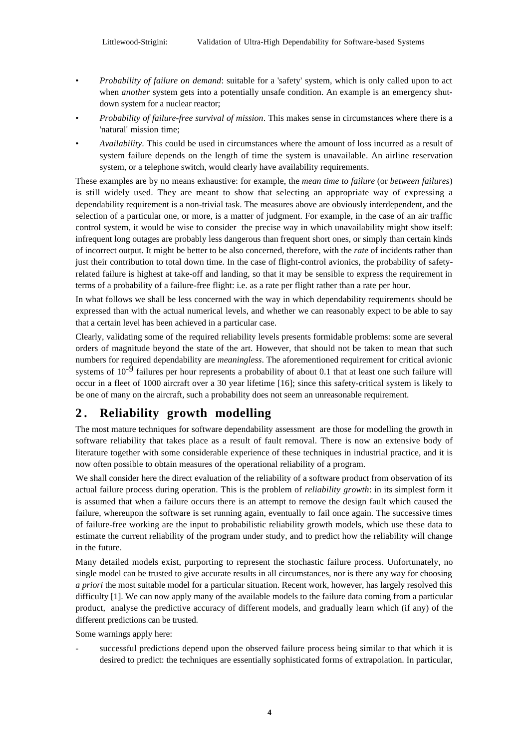- *Probability of failure on demand*: suitable for a 'safety' system, which is only called upon to act when *another* system gets into a potentially unsafe condition. An example is an emergency shutdown system for a nuclear reactor;
- *Probability of failure-free survival of mission*. This makes sense in circumstances where there is a 'natural' mission time;
- *Availability*. This could be used in circumstances where the amount of loss incurred as a result of system failure depends on the length of time the system is unavailable. An airline reservation system, or a telephone switch, would clearly have availability requirements.

These examples are by no means exhaustive: for example, the *mean time to failure* (or *between failures*) is still widely used. They are meant to show that selecting an appropriate way of expressing a dependability requirement is a non-trivial task. The measures above are obviously interdependent, and the selection of a particular one, or more, is a matter of judgment. For example, in the case of an air traffic control system, it would be wise to consider the precise way in which unavailability might show itself: infrequent long outages are probably less dangerous than frequent short ones, or simply than certain kinds of incorrect output. It might be better to be also concerned, therefore, with the *rate* of incidents rather than just their contribution to total down time. In the case of flight-control avionics, the probability of safetyrelated failure is highest at take-off and landing, so that it may be sensible to express the requirement in terms of a probability of a failure-free flight: i.e. as a rate per flight rather than a rate per hour.

In what follows we shall be less concerned with the way in which dependability requirements should be expressed than with the actual numerical levels, and whether we can reasonably expect to be able to say that a certain level has been achieved in a particular case.

Clearly, validating some of the required reliability levels presents formidable problems: some are several orders of magnitude beyond the state of the art. However, that should not be taken to mean that such numbers for required dependability are *meaningless*. The aforementioned requirement for critical avionic systems of  $10^{-9}$  failures per hour represents a probability of about 0.1 that at least one such failure will occur in a fleet of 1000 aircraft over a 30 year lifetime [16]; since this safety-critical system is likely to be one of many on the aircraft, such a probability does not seem an unreasonable requirement.

# **2 . Reliability growth modelling**

The most mature techniques for software dependability assessment are those for modelling the growth in software reliability that takes place as a result of fault removal. There is now an extensive body of literature together with some considerable experience of these techniques in industrial practice, and it is now often possible to obtain measures of the operational reliability of a program.

We shall consider here the direct evaluation of the reliability of a software product from observation of its actual failure process during operation. This is the problem of *reliability growth*: in its simplest form it is assumed that when a failure occurs there is an attempt to remove the design fault which caused the failure, whereupon the software is set running again, eventually to fail once again. The successive times of failure-free working are the input to probabilistic reliability growth models, which use these data to estimate the current reliability of the program under study, and to predict how the reliability will change in the future.

Many detailed models exist, purporting to represent the stochastic failure process. Unfortunately, no single model can be trusted to give accurate results in all circumstances, nor is there any way for choosing *a priori* the most suitable model for a particular situation. Recent work, however, has largely resolved this difficulty [1]. We can now apply many of the available models to the failure data coming from a particular product, analyse the predictive accuracy of different models, and gradually learn which (if any) of the different predictions can be trusted.

Some warnings apply here:

successful predictions depend upon the observed failure process being similar to that which it is desired to predict: the techniques are essentially sophisticated forms of extrapolation. In particular,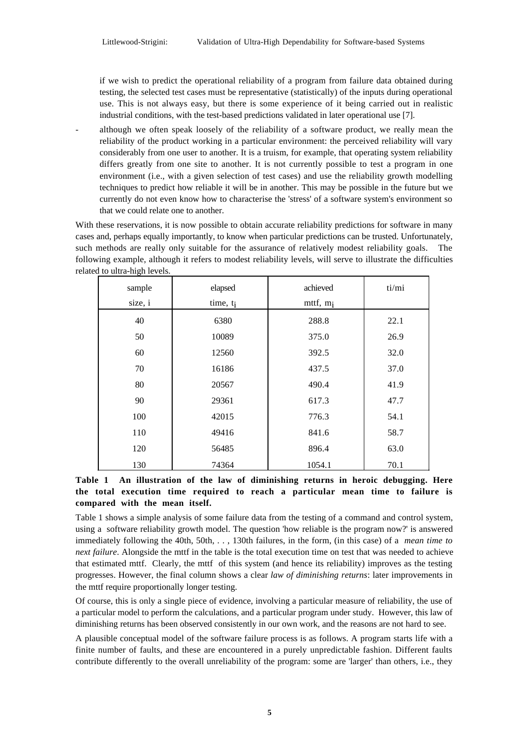if we wish to predict the operational reliability of a program from failure data obtained during testing, the selected test cases must be representative (statistically) of the inputs during operational use. This is not always easy, but there is some experience of it being carried out in realistic industrial conditions, with the test-based predictions validated in later operational use [7].

although we often speak loosely of the reliability of a software product, we really mean the reliability of the product working in a particular environment: the perceived reliability will vary considerably from one user to another. It is a truism, for example, that operating system reliability differs greatly from one site to another. It is not currently possible to test a program in one environment (i.e., with a given selection of test cases) and use the reliability growth modelling techniques to predict how reliable it will be in another. This may be possible in the future but we currently do not even know how to characterise the 'stress' of a software system's environment so that we could relate one to another.

With these reservations, it is now possible to obtain accurate reliability predictions for software in many cases and, perhaps equally importantly, to know when particular predictions can be trusted. Unfortunately, such methods are really only suitable for the assurance of relatively modest reliability goals. The following example, although it refers to modest reliability levels, will serve to illustrate the difficulties related to ultra-high levels.

| sample  | elapsed              | achieved                  | ti/mi |
|---------|----------------------|---------------------------|-------|
| size, i | time, t <sub>i</sub> | $m$ ttf, $m$ <sub>i</sub> |       |
| 40      | 6380                 | 288.8                     | 22.1  |
| 50      | 10089                | 375.0                     | 26.9  |
| 60      | 12560                | 392.5                     | 32.0  |
| 70      | 16186                | 437.5                     | 37.0  |
| 80      | 20567                | 490.4                     | 41.9  |
| 90      | 29361                | 617.3                     | 47.7  |
| 100     | 42015                | 776.3                     | 54.1  |
| 110     | 49416                | 841.6                     | 58.7  |
| 120     | 56485                | 896.4                     | 63.0  |
| 130     | 74364                | 1054.1                    | 70.1  |

#### **Table 1 An illustration of the law of diminishing returns in heroic debugging. Here the total execution time required to reach a particular mean time to failure is compared with the mean itself.**

Table 1 shows a simple analysis of some failure data from the testing of a command and control system, using a software reliability growth model. The question 'how reliable is the program now?' is answered immediately following the 40th, 50th, . . , 130th failures, in the form, (in this case) of a *mean time to next failure*. Alongside the mttf in the table is the total execution time on test that was needed to achieve that estimated mttf. Clearly, the mttf of this system (and hence its reliability) improves as the testing progresses. However, the final column shows a clear *law of diminishing returns*: later improvements in the mttf require proportionally longer testing.

Of course, this is only a single piece of evidence, involving a particular measure of reliability, the use of a particular model to perform the calculations, and a particular program under study. However, this law of diminishing returns has been observed consistently in our own work, and the reasons are not hard to see.

A plausible conceptual model of the software failure process is as follows. A program starts life with a finite number of faults, and these are encountered in a purely unpredictable fashion. Different faults contribute differently to the overall unreliability of the program: some are 'larger' than others, i.e., they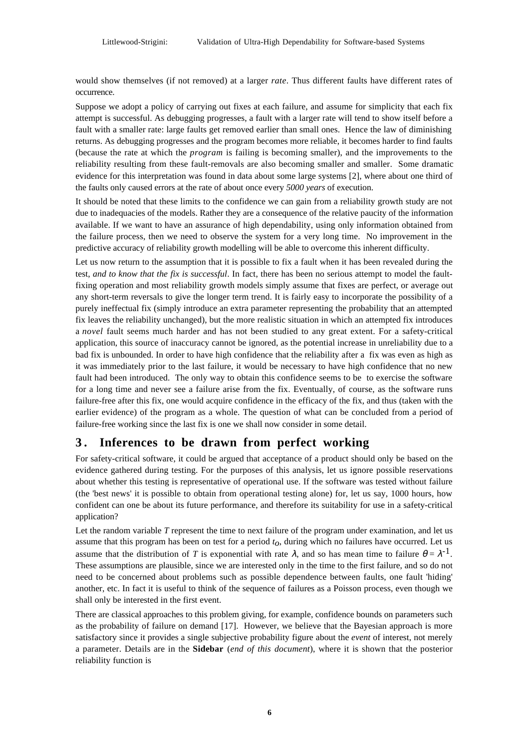would show themselves (if not removed) at a larger *rate*. Thus different faults have different rates of occurrence.

Suppose we adopt a policy of carrying out fixes at each failure, and assume for simplicity that each fix attempt is successful. As debugging progresses, a fault with a larger rate will tend to show itself before a fault with a smaller rate: large faults get removed earlier than small ones. Hence the law of diminishing returns. As debugging progresses and the program becomes more reliable, it becomes harder to find faults (because the rate at which the *program* is failing is becoming smaller), and the improvements to the reliability resulting from these fault-removals are also becoming smaller and smaller. Some dramatic evidence for this interpretation was found in data about some large systems [2], where about one third of the faults only caused errors at the rate of about once every *5000 years* of execution.

It should be noted that these limits to the confidence we can gain from a reliability growth study are not due to inadequacies of the models. Rather they are a consequence of the relative paucity of the information available. If we want to have an assurance of high dependability, using only information obtained from the failure process, then we need to observe the system for a very long time. No improvement in the predictive accuracy of reliability growth modelling will be able to overcome this inherent difficulty.

Let us now return to the assumption that it is possible to fix a fault when it has been revealed during the test, *and to know that the fix is successful*. In fact, there has been no serious attempt to model the faultfixing operation and most reliability growth models simply assume that fixes are perfect, or average out any short-term reversals to give the longer term trend. It is fairly easy to incorporate the possibility of a purely ineffectual fix (simply introduce an extra parameter representing the probability that an attempted fix leaves the reliability unchanged), but the more realistic situation in which an attempted fix introduces a *novel* fault seems much harder and has not been studied to any great extent. For a safety-critical application, this source of inaccuracy cannot be ignored, as the potential increase in unreliability due to a bad fix is unbounded. In order to have high confidence that the reliability after a fix was even as high as it was immediately prior to the last failure, it would be necessary to have high confidence that no new fault had been introduced. The only way to obtain this confidence seems to be to exercise the software for a long time and never see a failure arise from the fix. Eventually, of course, as the software runs failure-free after this fix, one would acquire confidence in the efficacy of the fix, and thus (taken with the earlier evidence) of the program as a whole. The question of what can be concluded from a period of failure-free working since the last fix is one we shall now consider in some detail.

#### **3 . Inferences to be drawn from perfect working**

For safety-critical software, it could be argued that acceptance of a product should only be based on the evidence gathered during testing. For the purposes of this analysis, let us ignore possible reservations about whether this testing is representative of operational use. If the software was tested without failure (the 'best news' it is possible to obtain from operational testing alone) for, let us say, 1000 hours, how confident can one be about its future performance, and therefore its suitability for use in a safety-critical application?

Let the random variable *T* represent the time to next failure of the program under examination, and let us assume that this program has been on test for a period *to*, during which no failures have occurred. Let us assume that the distribution of *T* is exponential with rate  $\lambda$ , and so has mean time to failure  $\theta = \lambda^{-1}$ . These assumptions are plausible, since we are interested only in the time to the first failure, and so do not need to be concerned about problems such as possible dependence between faults, one fault 'hiding' another, etc. In fact it is useful to think of the sequence of failures as a Poisson process, even though we shall only be interested in the first event.

There are classical approaches to this problem giving, for example, confidence bounds on parameters such as the probability of failure on demand [17]. However, we believe that the Bayesian approach is more satisfactory since it provides a single subjective probability figure about the *event* of interest, not merely a parameter. Details are in the **Sidebar** (*end of this document*), where it is shown that the posterior reliability function is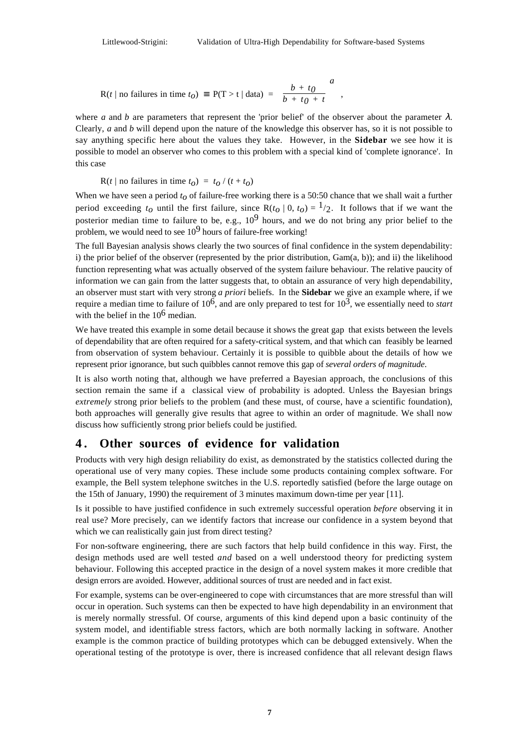$$
R(t \mid \text{no failures in time } t_0) \equiv P(T > t \mid \text{data}) = \left(\frac{b + t_0}{b + t_0 + t}\right)^a,
$$

where *a* and *b* are parameters that represent the 'prior belief' of the observer about the parameter  $\lambda$ . Clearly, *a* and *b* will depend upon the nature of the knowledge this observer has, so it is not possible to say anything specific here about the values they take. However, in the **Sidebar** we see how it is possible to model an observer who comes to this problem with a special kind of 'complete ignorance'. In this case

 $R(t \mid \text{no failures in time } t_0) = t_0 / (t + t_0)$ 

When we have seen a period  $t<sub>0</sub>$  of failure-free working there is a 50:50 chance that we shall wait a further period exceeding  $t_0$  until the first failure, since  $R(t_0 | 0, t_0) = 1/2$ . It follows that if we want the posterior median time to failure to be, e.g.,  $10^9$  hours, and we do not bring any prior belief to the problem, we would need to see  $10<sup>9</sup>$  hours of failure-free working!

The full Bayesian analysis shows clearly the two sources of final confidence in the system dependability: i) the prior belief of the observer (represented by the prior distribution, Gam(a, b)); and ii) the likelihood function representing what was actually observed of the system failure behaviour. The relative paucity of information we can gain from the latter suggests that, to obtain an assurance of very high dependability, an observer must start with very strong *a priori* beliefs. In the **Sidebar** we give an example where, if we require a median time to failure of 106, and are only prepared to test for 103, we essentially need to *start* with the belief in the  $10<sup>6</sup>$  median.

We have treated this example in some detail because it shows the great gap that exists between the levels of dependability that are often required for a safety-critical system, and that which can feasibly be learned from observation of system behaviour. Certainly it is possible to quibble about the details of how we represent prior ignorance, but such quibbles cannot remove this gap of *several orders of magnitude*.

It is also worth noting that, although we have preferred a Bayesian approach, the conclusions of this section remain the same if a classical view of probability is adopted. Unless the Bayesian brings *extremely* strong prior beliefs to the problem (and these must, of course, have a scientific foundation), both approaches will generally give results that agree to within an order of magnitude. We shall now discuss how sufficiently strong prior beliefs could be justified.

#### **4 . Other sources of evidence for validation**

Products with very high design reliability do exist, as demonstrated by the statistics collected during the operational use of very many copies. These include some products containing complex software. For example, the Bell system telephone switches in the U.S. reportedly satisfied (before the large outage on the 15th of January, 1990) the requirement of 3 minutes maximum down-time per year [11].

Is it possible to have justified confidence in such extremely successful operation *before* observing it in real use? More precisely, can we identify factors that increase our confidence in a system beyond that which we can realistically gain just from direct testing?

For non-software engineering, there are such factors that help build confidence in this way. First, the design methods used are well tested *and* based on a well understood theory for predicting system behaviour. Following this accepted practice in the design of a novel system makes it more credible that design errors are avoided. However, additional sources of trust are needed and in fact exist.

For example, systems can be over-engineered to cope with circumstances that are more stressful than will occur in operation. Such systems can then be expected to have high dependability in an environment that is merely normally stressful. Of course, arguments of this kind depend upon a basic continuity of the system model, and identifiable stress factors, which are both normally lacking in software. Another example is the common practice of building prototypes which can be debugged extensively. When the operational testing of the prototype is over, there is increased confidence that all relevant design flaws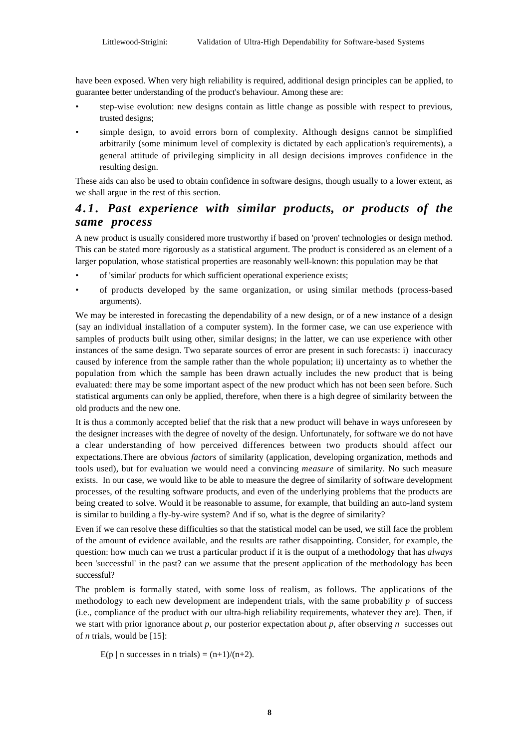have been exposed. When very high reliability is required, additional design principles can be applied, to guarantee better understanding of the product's behaviour. Among these are:

- step-wise evolution: new designs contain as little change as possible with respect to previous, trusted designs;
- simple design, to avoid errors born of complexity. Although designs cannot be simplified arbitrarily (some minimum level of complexity is dictated by each application's requirements), a general attitude of privileging simplicity in all design decisions improves confidence in the resulting design.

These aids can also be used to obtain confidence in software designs, though usually to a lower extent, as we shall argue in the rest of this section.

#### *4.1. Past experience with similar products, or products of the same process*

A new product is usually considered more trustworthy if based on 'proven' technologies or design method. This can be stated more rigorously as a statistical argument. The product is considered as an element of a larger population, whose statistical properties are reasonably well-known: this population may be that

- of 'similar' products for which sufficient operational experience exists;
- of products developed by the same organization, or using similar methods (process-based arguments).

We may be interested in forecasting the dependability of a new design, or of a new instance of a design (say an individual installation of a computer system). In the former case, we can use experience with samples of products built using other, similar designs; in the latter, we can use experience with other instances of the same design. Two separate sources of error are present in such forecasts: i) inaccuracy caused by inference from the sample rather than the whole population; ii) uncertainty as to whether the population from which the sample has been drawn actually includes the new product that is being evaluated: there may be some important aspect of the new product which has not been seen before. Such statistical arguments can only be applied, therefore, when there is a high degree of similarity between the old products and the new one.

It is thus a commonly accepted belief that the risk that a new product will behave in ways unforeseen by the designer increases with the degree of novelty of the design. Unfortunately, for software we do not have a clear understanding of how perceived differences between two products should affect our expectations.There are obvious *factors* of similarity (application, developing organization, methods and tools used), but for evaluation we would need a convincing *measure* of similarity. No such measure exists. In our case, we would like to be able to measure the degree of similarity of software development processes, of the resulting software products, and even of the underlying problems that the products are being created to solve. Would it be reasonable to assume, for example, that building an auto-land system is similar to building a fly-by-wire system? And if so, what is the degree of similarity?

Even if we can resolve these difficulties so that the statistical model can be used, we still face the problem of the amount of evidence available, and the results are rather disappointing. Consider, for example, the question: how much can we trust a particular product if it is the output of a methodology that has *always* been 'successful' in the past? can we assume that the present application of the methodology has been successful?

The problem is formally stated, with some loss of realism, as follows. The applications of the methodology to each new development are independent trials, with the same probability  $p$  of success (i.e., compliance of the product with our ultra-high reliability requirements, whatever they are). Then, if we start with prior ignorance about *p*, our posterior expectation about *p*, after observing *n* successes out of *n* trials, would be [15]:

 $E(p \mid n \text{ successes in } n \text{ trials}) = (n+1)/(n+2).$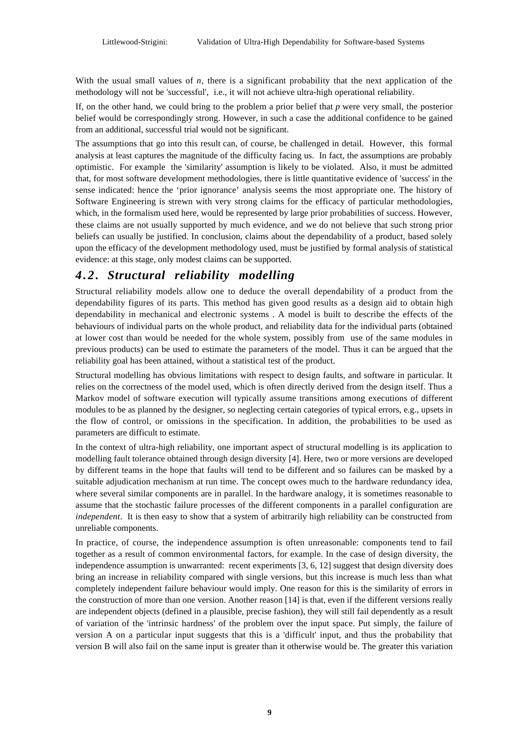With the usual small values of  $n$ , there is a significant probability that the next application of the methodology will not be 'successful', i.e., it will not achieve ultra-high operational reliability.

If, on the other hand, we could bring to the problem a prior belief that *p* were very small, the posterior belief would be correspondingly strong. However, in such a case the additional confidence to be gained from an additional, successful trial would not be significant.

The assumptions that go into this result can, of course, be challenged in detail. However, this formal analysis at least captures the magnitude of the difficulty facing us. In fact, the assumptions are probably optimistic. For example the 'similarity' assumption is likely to be violated. Also, it must be admitted that, for most software development methodologies, there is little quantitative evidence of 'success' in the sense indicated: hence the 'prior ignorance' analysis seems the most appropriate one. The history of Software Engineering is strewn with very strong claims for the efficacy of particular methodologies, which, in the formalism used here, would be represented by large prior probabilities of success. However, these claims are not usually supported by much evidence, and we do not believe that such strong prior beliefs can usually be justified. In conclusion, claims about the dependability of a product, based solely upon the efficacy of the development methodology used, must be justified by formal analysis of statistical evidence: at this stage, only modest claims can be supported.

## *4.2. Structural reliability modelling*

Structural reliability models allow one to deduce the overall dependability of a product from the dependability figures of its parts. This method has given good results as a design aid to obtain high dependability in mechanical and electronic systems . A model is built to describe the effects of the behaviours of individual parts on the whole product, and reliability data for the individual parts (obtained at lower cost than would be needed for the whole system, possibly from use of the same modules in previous products) can be used to estimate the parameters of the model. Thus it can be argued that the reliability goal has been attained, without a statistical test of the product.

Structural modelling has obvious limitations with respect to design faults, and software in particular. It relies on the correctness of the model used, which is often directly derived from the design itself. Thus a Markov model of software execution will typically assume transitions among executions of different modules to be as planned by the designer, so neglecting certain categories of typical errors, e.g., upsets in the flow of control, or omissions in the specification. In addition, the probabilities to be used as parameters are difficult to estimate.

In the context of ultra-high reliability, one important aspect of structural modelling is its application to modelling fault tolerance obtained through design diversity [4]. Here, two or more versions are developed by different teams in the hope that faults will tend to be different and so failures can be masked by a suitable adjudication mechanism at run time. The concept owes much to the hardware redundancy idea, where several similar components are in parallel. In the hardware analogy, it is sometimes reasonable to assume that the stochastic failure processes of the different components in a parallel configuration are *independent*. It is then easy to show that a system of arbitrarily high reliability can be constructed from unreliable components.

In practice, of course, the independence assumption is often unreasonable: components tend to fail together as a result of common environmental factors, for example. In the case of design diversity, the independence assumption is unwarranted: recent experiments [3, 6, 12] suggest that design diversity does bring an increase in reliability compared with single versions, but this increase is much less than what completely independent failure behaviour would imply. One reason for this is the similarity of errors in the construction of more than one version. Another reason [14] is that, even if the different versions really are independent objects (defined in a plausible, precise fashion), they will still fail dependently as a result of variation of the 'intrinsic hardness' of the problem over the input space. Put simply, the failure of version A on a particular input suggests that this is a 'difficult' input, and thus the probability that version B will also fail on the same input is greater than it otherwise would be. The greater this variation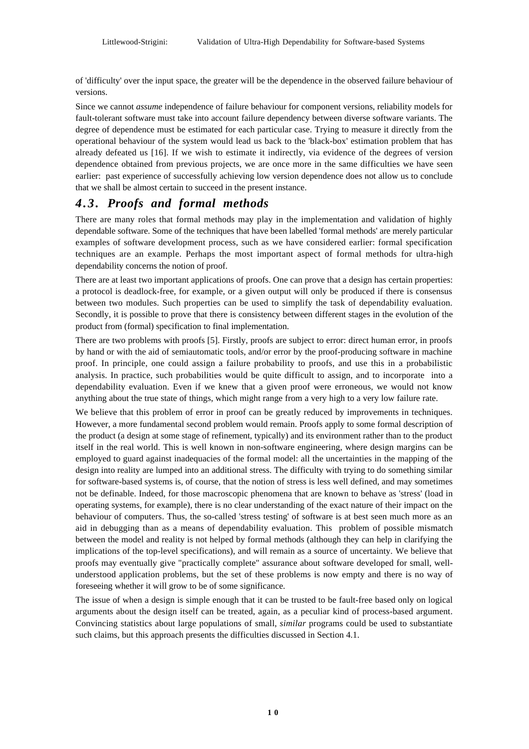of 'difficulty' over the input space, the greater will be the dependence in the observed failure behaviour of versions.

Since we cannot *assume* independence of failure behaviour for component versions, reliability models for fault-tolerant software must take into account failure dependency between diverse software variants. The degree of dependence must be estimated for each particular case. Trying to measure it directly from the operational behaviour of the system would lead us back to the 'black-box' estimation problem that has already defeated us [16]. If we wish to estimate it indirectly, via evidence of the degrees of version dependence obtained from previous projects, we are once more in the same difficulties we have seen earlier: past experience of successfully achieving low version dependence does not allow us to conclude that we shall be almost certain to succeed in the present instance.

# *4.3. Proofs and formal methods*

There are many roles that formal methods may play in the implementation and validation of highly dependable software. Some of the techniques that have been labelled 'formal methods' are merely particular examples of software development process, such as we have considered earlier: formal specification techniques are an example. Perhaps the most important aspect of formal methods for ultra-high dependability concerns the notion of proof.

There are at least two important applications of proofs. One can prove that a design has certain properties: a protocol is deadlock-free, for example, or a given output will only be produced if there is consensus between two modules. Such properties can be used to simplify the task of dependability evaluation. Secondly, it is possible to prove that there is consistency between different stages in the evolution of the product from (formal) specification to final implementation.

There are two problems with proofs [5]. Firstly, proofs are subject to error: direct human error, in proofs by hand or with the aid of semiautomatic tools, and/or error by the proof-producing software in machine proof. In principle, one could assign a failure probability to proofs, and use this in a probabilistic analysis. In practice, such probabilities would be quite difficult to assign, and to incorporate into a dependability evaluation. Even if we knew that a given proof were erroneous, we would not know anything about the true state of things, which might range from a very high to a very low failure rate.

We believe that this problem of error in proof can be greatly reduced by improvements in techniques. However, a more fundamental second problem would remain. Proofs apply to some formal description of the product (a design at some stage of refinement, typically) and its environment rather than to the product itself in the real world. This is well known in non-software engineering, where design margins can be employed to guard against inadequacies of the formal model: all the uncertainties in the mapping of the design into reality are lumped into an additional stress. The difficulty with trying to do something similar for software-based systems is, of course, that the notion of stress is less well defined, and may sometimes not be definable. Indeed, for those macroscopic phenomena that are known to behave as 'stress' (load in operating systems, for example), there is no clear understanding of the exact nature of their impact on the behaviour of computers. Thus, the so-called 'stress testing' of software is at best seen much more as an aid in debugging than as a means of dependability evaluation. This problem of possible mismatch between the model and reality is not helped by formal methods (although they can help in clarifying the implications of the top-level specifications), and will remain as a source of uncertainty. We believe that proofs may eventually give "practically complete" assurance about software developed for small, wellunderstood application problems, but the set of these problems is now empty and there is no way of foreseeing whether it will grow to be of some significance.

The issue of when a design is simple enough that it can be trusted to be fault-free based only on logical arguments about the design itself can be treated, again, as a peculiar kind of process-based argument. Convincing statistics about large populations of small, *similar* programs could be used to substantiate such claims, but this approach presents the difficulties discussed in Section 4.1.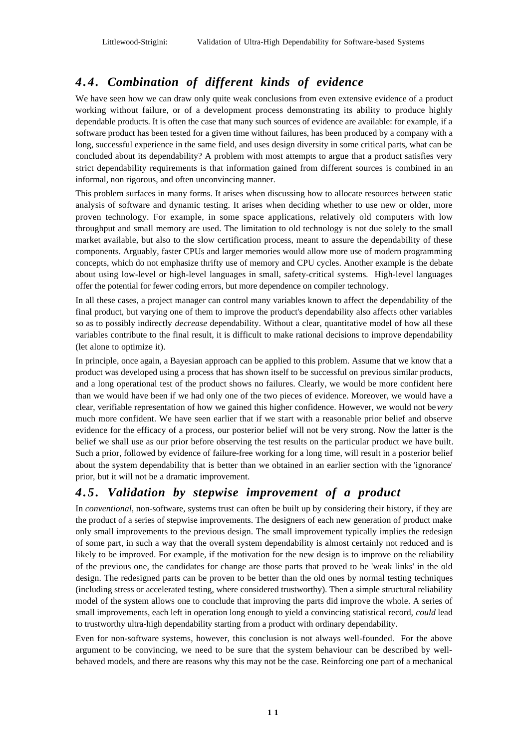# *4.4. Combination of different kinds of evidence*

We have seen how we can draw only quite weak conclusions from even extensive evidence of a product working without failure, or of a development process demonstrating its ability to produce highly dependable products. It is often the case that many such sources of evidence are available: for example, if a software product has been tested for a given time without failures, has been produced by a company with a long, successful experience in the same field, and uses design diversity in some critical parts, what can be concluded about its dependability? A problem with most attempts to argue that a product satisfies very strict dependability requirements is that information gained from different sources is combined in an informal, non rigorous, and often unconvincing manner.

This problem surfaces in many forms. It arises when discussing how to allocate resources between static analysis of software and dynamic testing. It arises when deciding whether to use new or older, more proven technology. For example, in some space applications, relatively old computers with low throughput and small memory are used. The limitation to old technology is not due solely to the small market available, but also to the slow certification process, meant to assure the dependability of these components. Arguably, faster CPUs and larger memories would allow more use of modern programming concepts, which do not emphasize thrifty use of memory and CPU cycles. Another example is the debate about using low-level or high-level languages in small, safety-critical systems*.* High-level languages offer the potential for fewer coding errors, but more dependence on compiler technology.

In all these cases, a project manager can control many variables known to affect the dependability of the final product, but varying one of them to improve the product's dependability also affects other variables so as to possibly indirectly *decrease* dependability. Without a clear, quantitative model of how all these variables contribute to the final result, it is difficult to make rational decisions to improve dependability (let alone to optimize it).

In principle, once again, a Bayesian approach can be applied to this problem. Assume that we know that a product was developed using a process that has shown itself to be successful on previous similar products, and a long operational test of the product shows no failures. Clearly, we would be more confident here than we would have been if we had only one of the two pieces of evidence. Moreover, we would have a clear, verifiable representation of how we gained this higher confidence. However, we would not be *very* much more confident. We have seen earlier that if we start with a reasonable prior belief and observe evidence for the efficacy of a process, our posterior belief will not be very strong. Now the latter is the belief we shall use as our prior before observing the test results on the particular product we have built. Such a prior, followed by evidence of failure-free working for a long time, will result in a posterior belief about the system dependability that is better than we obtained in an earlier section with the 'ignorance' prior, but it will not be a dramatic improvement.

#### *4.5. Validation by stepwise improvement of a product*

In *conventional*, non-software, systems trust can often be built up by considering their history, if they are the product of a series of stepwise improvements. The designers of each new generation of product make only small improvements to the previous design. The small improvement typically implies the redesign of some part, in such a way that the overall system dependability is almost certainly not reduced and is likely to be improved. For example, if the motivation for the new design is to improve on the reliability of the previous one, the candidates for change are those parts that proved to be 'weak links' in the old design. The redesigned parts can be proven to be better than the old ones by normal testing techniques (including stress or accelerated testing, where considered trustworthy). Then a simple structural reliability model of the system allows one to conclude that improving the parts did improve the whole. A series of small improvements, each left in operation long enough to yield a convincing statistical record, *could* lead to trustworthy ultra-high dependability starting from a product with ordinary dependability.

Even for non-software systems, however, this conclusion is not always well-founded. For the above argument to be convincing, we need to be sure that the system behaviour can be described by wellbehaved models, and there are reasons why this may not be the case. Reinforcing one part of a mechanical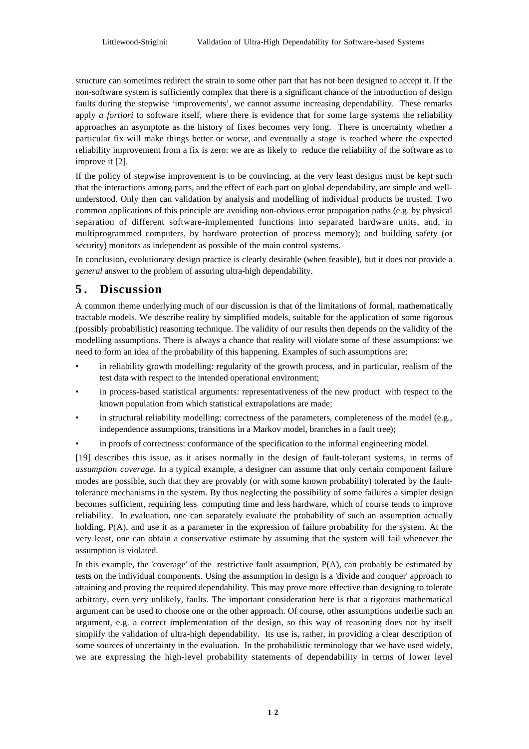structure can sometimes redirect the strain to some other part that has not been designed to accept it. If the non-software system is sufficiently complex that there is a significant chance of the introduction of design faults during the stepwise 'improvements', we cannot assume increasing dependability. These remarks apply *a fortiori* to software itself, where there is evidence that for some large systems the reliability approaches an asymptote as the history of fixes becomes very long. There is uncertainty whether a particular fix will make things better or worse, and eventually a stage is reached where the expected reliability improvement from a fix is zero: we are as likely to reduce the reliability of the software as to improve it [2].

If the policy of stepwise improvement is to be convincing, at the very least designs must be kept such that the interactions among parts, and the effect of each part on global dependability, are simple and wellunderstood. Only then can validation by analysis and modelling of individual products be trusted. Two common applications of this principle are avoiding non-obvious error propagation paths (e.g. by physical separation of different software-implemented functions into separated hardware units, and, in multiprogrammed computers, by hardware protection of process memory); and building safety (or security) monitors as independent as possible of the main control systems.

In conclusion, evolutionary design practice is clearly desirable (when feasible), but it does not provide a *general* answer to the problem of assuring ultra-high dependability.

## **5. Discussion**

A common theme underlying much of our discussion is that of the limitations of formal, mathematically tractable models. We describe reality by simplified models, suitable for the application of some rigorous (possibly probabilistic) reasoning technique. The validity of our results then depends on the validity of the modelling assumptions. There is always a chance that reality will violate some of these assumptions: we need to form an idea of the probability of this happening. Examples of such assumptions are:

- in reliability growth modelling: regularity of the growth process, and in particular, realism of the test data with respect to the intended operational environment;
- in process-based statistical arguments: representativeness of the new product with respect to the known population from which statistical extrapolations are made;
- in structural reliability modelling: correctness of the parameters, completeness of the model (e.g., independence assumptions, transitions in a Markov model, branches in a fault tree);
- in proofs of correctness: conformance of the specification to the informal engineering model.

[19] describes this issue, as it arises normally in the design of fault-tolerant systems, in terms of *assumption coverage*. In a typical example, a designer can assume that only certain component failure modes are possible, such that they are provably (or with some known probability) tolerated by the faulttolerance mechanisms in the system. By thus neglecting the possibility of some failures a simpler design becomes sufficient, requiring less computing time and less hardware, which of course tends to improve reliability. In evaluation, one can separately evaluate the probability of such an assumption actually holding, P(A), and use it as a parameter in the expression of failure probability for the system. At the very least, one can obtain a conservative estimate by assuming that the system will fail whenever the assumption is violated.

In this example, the 'coverage' of the restrictive fault assumption, P(A), can probably be estimated by tests on the individual components. Using the assumption in design is a 'divide and conquer' approach to attaining and proving the required dependability. This may prove more effective than designing to tolerate arbitrary, even very unlikely, faults. The important consideration here is that a rigorous mathematical argument can be used to choose one or the other approach. Of course, other assumptions underlie such an argument, e.g. a correct implementation of the design, so this way of reasoning does not by itself simplify the validation of ultra-high dependability. Its use is, rather, in providing a clear description of some sources of uncertainty in the evaluation. In the probabilistic terminology that we have used widely, we are expressing the high-level probability statements of dependability in terms of lower level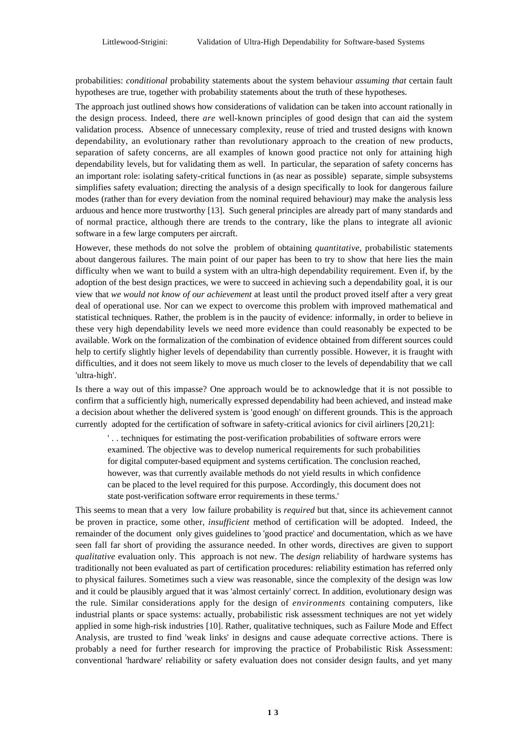probabilities: *conditional* probability statements about the system behaviour *assuming that* certain fault hypotheses are true, together with probability statements about the truth of these hypotheses.

The approach just outlined shows how considerations of validation can be taken into account rationally in the design process. Indeed, there *are* well-known principles of good design that can aid the system validation process. Absence of unnecessary complexity, reuse of tried and trusted designs with known dependability, an evolutionary rather than revolutionary approach to the creation of new products, separation of safety concerns, are all examples of known good practice not only for attaining high dependability levels, but for validating them as well. In particular, the separation of safety concerns has an important role: isolating safety-critical functions in (as near as possible) separate, simple subsystems simplifies safety evaluation; directing the analysis of a design specifically to look for dangerous failure modes (rather than for every deviation from the nominal required behaviour) may make the analysis less arduous and hence more trustworthy [13]. Such general principles are already part of many standards and of normal practice, although there are trends to the contrary, like the plans to integrate all avionic software in a few large computers per aircraft.

However, these methods do not solve the problem of obtaining *quantitative*, probabilistic statements about dangerous failures. The main point of our paper has been to try to show that here lies the main difficulty when we want to build a system with an ultra-high dependability requirement. Even if, by the adoption of the best design practices, we were to succeed in achieving such a dependability goal, it is our view that *we would not know of our achievement* at least until the product proved itself after a very great deal of operational use. Nor can we expect to overcome this problem with improved mathematical and statistical techniques. Rather, the problem is in the paucity of evidence: informally, in order to believe in these very high dependability levels we need more evidence than could reasonably be expected to be available. Work on the formalization of the combination of evidence obtained from different sources could help to certify slightly higher levels of dependability than currently possible. However, it is fraught with difficulties, and it does not seem likely to move us much closer to the levels of dependability that we call 'ultra-high'.

Is there a way out of this impasse? One approach would be to acknowledge that it is not possible to confirm that a sufficiently high, numerically expressed dependability had been achieved, and instead make a decision about whether the delivered system is 'good enough' on different grounds. This is the approach currently adopted for the certification of software in safety-critical avionics for civil airliners [20,21]:

' . . techniques for estimating the post-verification probabilities of software errors were examined. The objective was to develop numerical requirements for such probabilities for digital computer-based equipment and systems certification. The conclusion reached, however, was that currently available methods do not yield results in which confidence can be placed to the level required for this purpose. Accordingly, this document does not state post-verification software error requirements in these terms.'

This seems to mean that a very low failure probability is *required* but that, since its achievement cannot be proven in practice, some other, *insufficient* method of certification will be adopted. Indeed, the remainder of the document only gives guidelines to 'good practice' and documentation, which as we have seen fall far short of providing the assurance needed. In other words, directives are given to support *qualitative* evaluation only. This approach is not new. The *design* reliability of hardware systems has traditionally not been evaluated as part of certification procedures: reliability estimation has referred only to physical failures. Sometimes such a view was reasonable, since the complexity of the design was low and it could be plausibly argued that it was 'almost certainly' correct. In addition, evolutionary design was the rule. Similar considerations apply for the design of *environments* containing computers, like industrial plants or space systems: actually, probabilistic risk assessment techniques are not yet widely applied in some high-risk industries [10]. Rather, qualitative techniques, such as Failure Mode and Effect Analysis, are trusted to find 'weak links' in designs and cause adequate corrective actions. There is probably a need for further research for improving the practice of Probabilistic Risk Assessment: conventional 'hardware' reliability or safety evaluation does not consider design faults, and yet many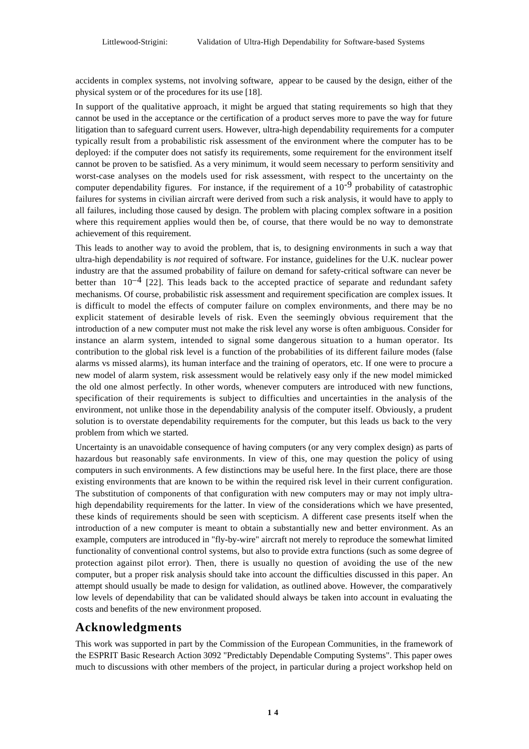accidents in complex systems, not involving software, appear to be caused by the design, either of the physical system or of the procedures for its use [18].

In support of the qualitative approach, it might be argued that stating requirements so high that they cannot be used in the acceptance or the certification of a product serves more to pave the way for future litigation than to safeguard current users. However, ultra-high dependability requirements for a computer typically result from a probabilistic risk assessment of the environment where the computer has to be deployed: if the computer does not satisfy its requirements, some requirement for the environment itself cannot be proven to be satisfied. As a very minimum, it would seem necessary to perform sensitivity and worst-case analyses on the models used for risk assessment, with respect to the uncertainty on the computer dependability figures. For instance, if the requirement of a  $10^{-9}$  probability of catastrophic failures for systems in civilian aircraft were derived from such a risk analysis, it would have to apply to all failures, including those caused by design. The problem with placing complex software in a position where this requirement applies would then be, of course, that there would be no way to demonstrate achievement of this requirement.

This leads to another way to avoid the problem, that is, to designing environments in such a way that ultra-high dependability is *not* required of software. For instance, guidelines for the U.K. nuclear power industry are that the assumed probability of failure on demand for safety-critical software can never be better than  $10^{-4}$  [22]. This leads back to the accepted practice of separate and redundant safety mechanisms. Of course, probabilistic risk assessment and requirement specification are complex issues. It is difficult to model the effects of computer failure on complex environments, and there may be no explicit statement of desirable levels of risk. Even the seemingly obvious requirement that the introduction of a new computer must not make the risk level any worse is often ambiguous. Consider for instance an alarm system, intended to signal some dangerous situation to a human operator. Its contribution to the global risk level is a function of the probabilities of its different failure modes (false alarms vs missed alarms), its human interface and the training of operators, etc. If one were to procure a new model of alarm system, risk assessment would be relatively easy only if the new model mimicked the old one almost perfectly. In other words, whenever computers are introduced with new functions, specification of their requirements is subject to difficulties and uncertainties in the analysis of the environment, not unlike those in the dependability analysis of the computer itself. Obviously, a prudent solution is to overstate dependability requirements for the computer, but this leads us back to the very problem from which we started.

Uncertainty is an unavoidable consequence of having computers (or any very complex design) as parts of hazardous but reasonably safe environments. In view of this, one may question the policy of using computers in such environments. A few distinctions may be useful here. In the first place, there are those existing environments that are known to be within the required risk level in their current configuration. The substitution of components of that configuration with new computers may or may not imply ultrahigh dependability requirements for the latter. In view of the considerations which we have presented, these kinds of requirements should be seen with scepticism. A different case presents itself when the introduction of a new computer is meant to obtain a substantially new and better environment. As an example, computers are introduced in "fly-by-wire" aircraft not merely to reproduce the somewhat limited functionality of conventional control systems, but also to provide extra functions (such as some degree of protection against pilot error). Then, there is usually no question of avoiding the use of the new computer, but a proper risk analysis should take into account the difficulties discussed in this paper. An attempt should usually be made to design for validation, as outlined above. However, the comparatively low levels of dependability that can be validated should always be taken into account in evaluating the costs and benefits of the new environment proposed.

#### **Acknowledgments**

This work was supported in part by the Commission of the European Communities, in the framework of the ESPRIT Basic Research Action 3092 "Predictably Dependable Computing Systems". This paper owes much to discussions with other members of the project, in particular during a project workshop held on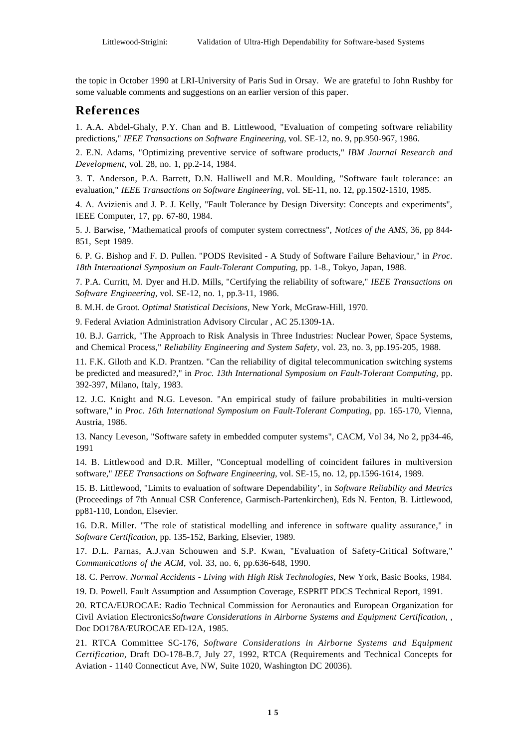the topic in October 1990 at LRI-University of Paris Sud in Orsay. We are grateful to John Rushby for some valuable comments and suggestions on an earlier version of this paper.

#### **References**

1. A.A. Abdel-Ghaly, P.Y. Chan and B. Littlewood, "Evaluation of competing software reliability predictions," *IEEE Transactions on Software Engineering*, vol. SE-12, no. 9, pp.950-967, 1986.

2. E.N. Adams, "Optimizing preventive service of software products," *IBM Journal Research and Development*, vol. 28, no. 1, pp.2-14, 1984.

3. T. Anderson, P.A. Barrett, D.N. Halliwell and M.R. Moulding, "Software fault tolerance: an evaluation," *IEEE Transactions on Software Engineering*, vol. SE-11, no. 12, pp.1502-1510, 1985.

4. A. Avizienis and J. P. J. Kelly, "Fault Tolerance by Design Diversity: Concepts and experiments", IEEE Computer, 17, pp. 67-80, 1984.

5. J. Barwise, "Mathematical proofs of computer system correctness", *Notices of the AMS*, 36, pp 844- 851, Sept 1989.

6. P. G. Bishop and F. D. Pullen. "PODS Revisited - A Study of Software Failure Behaviour," in *Proc. 18th International Symposium on Fault-Tolerant Computing*, pp. 1-8., Tokyo, Japan, 1988.

7. P.A. Curritt, M. Dyer and H.D. Mills, "Certifying the reliability of software," *IEEE Transactions on Software Engineering*, vol. SE-12, no. 1, pp.3-11, 1986.

8. M.H. de Groot. *Optimal Statistical Decisions,* New York, McGraw-Hill, 1970.

9. Federal Aviation Administration Advisory Circular , AC 25.1309-1A.

10. B.J. Garrick, "The Approach to Risk Analysis in Three Industries: Nuclear Power, Space Systems, and Chemical Process," *Reliability Engineering and System Safety*, vol. 23, no. 3, pp.195-205, 1988.

11. F.K. Giloth and K.D. Prantzen. "Can the reliability of digital telecommunication switching systems be predicted and measured?," in *Proc. 13th International Symposium on Fault-Tolerant Computing,* pp. 392-397, Milano, Italy, 1983.

12. J.C. Knight and N.G. Leveson. "An empirical study of failure probabilities in multi-version software," in *Proc. 16th International Symposium on Fault-Tolerant Computing,* pp. 165-170, Vienna, Austria, 1986.

13. Nancy Leveson, "Software safety in embedded computer systems", CACM, Vol 34, No 2, pp34-46, 1991

14. B. Littlewood and D.R. Miller, "Conceptual modelling of coincident failures in multiversion software," *IEEE Transactions on Software Engineering*, vol. SE-15, no. 12, pp.1596-1614, 1989.

15. B. Littlewood, "Limits to evaluation of software Dependability', in *Software Reliability and Metrics* (Proceedings of 7th Annual CSR Conference, Garmisch-Partenkirchen), Eds N. Fenton, B. Littlewood, pp81-110, London, Elsevier.

16. D.R. Miller. "The role of statistical modelling and inference in software quality assurance," in *Software Certification,* pp. 135-152, Barking, Elsevier, 1989.

17. D.L. Parnas, A.J.van Schouwen and S.P. Kwan, "Evaluation of Safety-Critical Software," *Communications of the ACM*, vol. 33, no. 6, pp.636-648, 1990.

18. C. Perrow. *Normal Accidents - Living with High Risk Technologies,* New York, Basic Books, 1984.

19. D. Powell. Fault Assumption and Assumption Coverage, ESPRIT PDCS Technical Report, 1991.

20. RTCA/EUROCAE: Radio Technical Commission for Aeronautics and European Organization for Civil Aviation Electronics*Software Considerations in Airborne Systems and Equipment Certification,* , Doc DO178A/EUROCAE ED-12A, 1985.

21. RTCA Committee SC-176, *Software Considerations in Airborne Systems and Equipment Certification*, Draft DO-178-B.7, July 27, 1992, RTCA (Requirements and Technical Concepts for Aviation - 1140 Connecticut Ave, NW, Suite 1020, Washington DC 20036).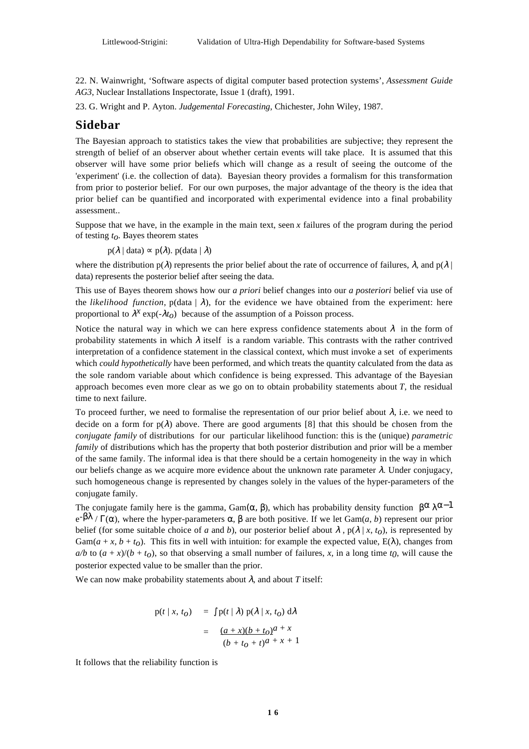22. N. Wainwright, 'Software aspects of digital computer based protection systems', *Assessment Guide AG3*, Nuclear Installations Inspectorate, Issue 1 (draft), 1991.

23. G. Wright and P. Ayton. *Judgemental Forecasting,* Chichester, John Wiley, 1987.

#### **Sidebar**

The Bayesian approach to statistics takes the view that probabilities are subjective; they represent the strength of belief of an observer about whether certain events will take place. It is assumed that this observer will have some prior beliefs which will change as a result of seeing the outcome of the 'experiment' (i.e. the collection of data). Bayesian theory provides a formalism for this transformation from prior to posterior belief. For our own purposes, the major advantage of the theory is the idea that prior belief can be quantified and incorporated with experimental evidence into a final probability assessment..

Suppose that we have, in the example in the main text, seen *x* failures of the program during the period of testing *to*. Bayes theorem states

 $p(\lambda \mid data) \propto p(\lambda)$ . p(data  $|\lambda)$ 

where the distribution  $p(\lambda)$  represents the prior belief about the rate of occurrence of failures,  $\lambda$ , and  $p(\lambda)$ data) represents the posterior belief after seeing the data.

This use of Bayes theorem shows how our *a priori* belief changes into our *a posteriori* belief via use of the *likelihood function*,  $p(data | \lambda)$ , for the evidence we have obtained from the experiment: here proportional to  $\lambda^x$  exp(- $\lambda t_0$ ) because of the assumption of a Poisson process.

Notice the natural way in which we can here express confidence statements about  $\lambda$  in the form of probability statements in which  $\lambda$  itself is a random variable. This contrasts with the rather contrived interpretation of a confidence statement in the classical context, which must invoke a set of experiments which *could hypothetically* have been performed, and which treats the quantity calculated from the data as the sole random variable about which confidence is being expressed. This advantage of the Bayesian approach becomes even more clear as we go on to obtain probability statements about *T*, the residual time to next failure.

To proceed further, we need to formalise the representation of our prior belief about  $\lambda$ , i.e. we need to decide on a form for  $p(\lambda)$  above. There are good arguments [8] that this should be chosen from the *conjugate family* of distributions for our particular likelihood function: this is the (unique) *parametric family* of distributions which has the property that both posterior distribution and prior will be a member of the same family. The informal idea is that there should be a certain homogeneity in the way in which our beliefs change as we acquire more evidence about the unknown rate parameter  $λ$ . Under conjugacy, such homogeneous change is represented by changes solely in the values of the hyper-parameters of the conjugate family.

The conjugate family here is the gamma, Gam( $\alpha$ ,  $\beta$ ), which has probability density function  $\beta^{\alpha} \lambda^{\alpha-1}$ e<sup>-βλ</sup>/Γ(α), where the hyper-parameters α, β are both positive. If we let Gam(*a*, *b*) represent our prior belief (for some suitable choice of *a* and *b*), our posterior belief about  $\lambda$ ,  $p(\lambda | x, t_0)$ , is represented by Gam( $a + x$ ,  $b + t_0$ ). This fits in well with intuition: for example the expected value,  $E(\lambda)$ , changes from  $a/b$  to  $(a + x)/(b + t_0)$ , so that observing a small number of failures, x, in a long time  $t_0$ , will cause the posterior expected value to be smaller than the prior.

We can now make probability statements about  $\lambda$ , and about *T* itself:

$$
p(t | x, t_0) = \int p(t | \lambda) p(\lambda | x, t_0) d\lambda
$$

$$
= \frac{(a + x)(b + t_0)^{a + x}}{(b + t_0 + t)^{a + x + 1}}
$$

It follows that the reliability function is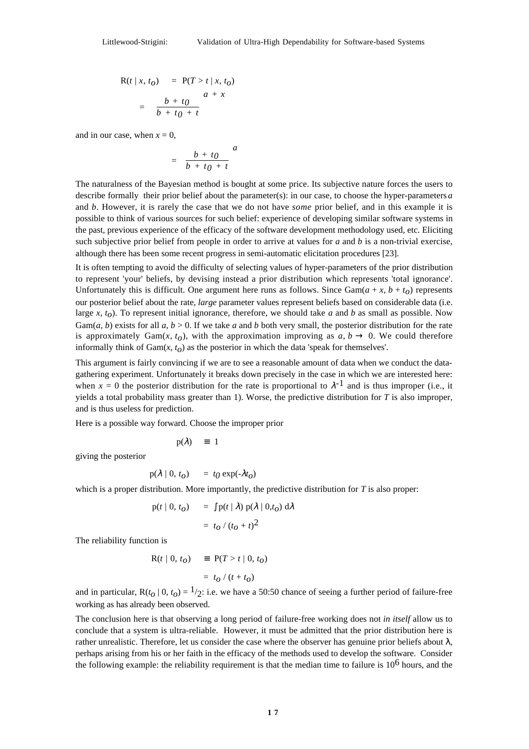$$
R(t \mid x, t_0) = P(T > t \mid x, t_0)
$$

$$
= \left(\frac{b + t_0}{b + t_0 + t}\right)^{a + x}
$$

and in our case, when  $x = 0$ ,

$$
=\left(\frac{b+t_0}{b+t_0+t}\right)^a
$$

The naturalness of the Bayesian method is bought at some price. Its subjective nature forces the users to describe formally their prior belief about the parameter(s): in our case, to choose the hyper-parameters *a* and *b*. However, it is rarely the case that we do not have *some* prior belief, and in this example it is possible to think of various sources for such belief: experience of developing similar software systems in the past, previous experience of the efficacy of the software development methodology used, etc. Eliciting such subjective prior belief from people in order to arrive at values for *a* and *b* is a non-trivial exercise, although there has been some recent progress in semi-automatic elicitation procedures [23].

It is often tempting to avoid the difficulty of selecting values of hyper-parameters of the prior distribution to represent 'your' beliefs, by devising instead a prior distribution which represents 'total ignorance'. Unfortunately this is difficult. One argument here runs as follows. Since  $Gam(a + x, b + t_0)$  represents our posterior belief about the rate, *large* parameter values represent beliefs based on considerable data (i.e. large *x, to*). To represent initial ignorance, therefore, we should take *a* and *b* as small as possible. Now Gam( $a$ ,  $b$ ) exists for all  $a$ ,  $b > 0$ . If we take  $a$  and  $b$  both very small, the posterior distribution for the rate is approximately Gam(*x*, *t*<sub>0</sub>), with the approximation improving as  $a, b \rightarrow 0$ . We could therefore informally think of  $Gam(x, t_0)$  as the posterior in which the data 'speak for themselves'.

This argument is fairly convincing if we are to see a reasonable amount of data when we conduct the datagathering experiment. Unfortunately it breaks down precisely in the case in which we are interested here: when  $x = 0$  the posterior distribution for the rate is proportional to  $\lambda^{-1}$  and is thus improper (i.e., it yields a total probability mass greater than 1). Worse, the predictive distribution for *T* is also improper, and is thus useless for prediction.

Here is a possible way forward. Choose the improper prior

$$
p(\lambda) \equiv 1
$$

giving the posterior

$$
p(\lambda \mid 0, t_0) = t_0 \exp(-\lambda t_0)
$$

which is a proper distribution. More importantly, the predictive distribution for *T* is also proper:

$$
p(t | 0, t_0) = \int p(t | \lambda) p(\lambda | 0, t_0) d\lambda
$$

$$
= t_0 / (t_0 + t)^2
$$

The reliability function is

$$
R(t | 0, t_0) \equiv P(T > t | 0, t_0)
$$

$$
= t_o / (t + t_o)
$$

and in particular,  $R(t_0 | 0, t_0) = 1/2$ : i.e. we have a 50:50 chance of seeing a further period of failure-free working as has already been observed.

The conclusion here is that observing a long period of failure-free working does not *in itself* allow us to conclude that a system is ultra-reliable. However, it must be admitted that the prior distribution here is rather unrealistic. Therefore, let us consider the case where the observer has genuine prior beliefs about  $\lambda$ , perhaps arising from his or her faith in the efficacy of the methods used to develop the software. Consider the following example: the reliability requirement is that the median time to failure is  $10<sup>6</sup>$  hours, and the